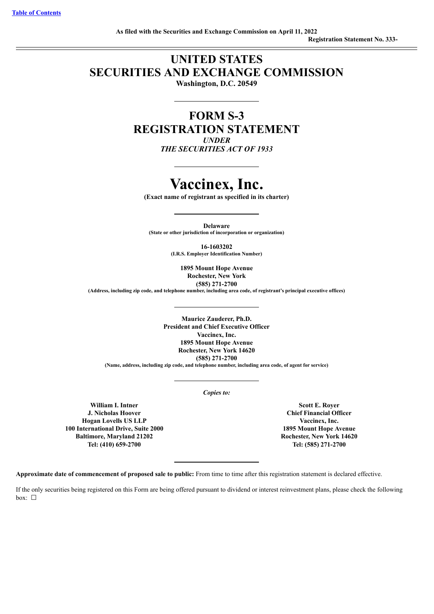# **UNITED STATES SECURITIES AND EXCHANGE COMMISSION**

**Washington, D.C. 20549**

**FORM S-3 REGISTRATION STATEMENT** *UNDER*

*THE SECURITIES ACT OF 1933*

# **Vaccinex, Inc.**

**(Exact name of registrant as specified in its charter)**

**Delaware (State or other jurisdiction of incorporation or organization)**

> **16-1603202 (I.R.S. Employer Identification Number)**

> > **1895 Mount Hope Avenue Rochester, New York (585) 271-2700**

**(Address, including zip code, and telephone number, including area code, of registrant's principal executive offices)**

**Maurice Zauderer, Ph.D. President and Chief Executive Officer Vaccinex, Inc. 1895 Mount Hope Avenue Rochester, New York 14620 (585) 271-2700**

**(Name, address, including zip code, and telephone number, including area code, of agent for service)**

*Copies to:*

**William I. Intner J. Nicholas Hoover Hogan Lovells US LLP 100 International Drive, Suite 2000 Baltimore, Maryland 21202 Tel: (410) 659-2700**

**Scott E. Royer Chief Financial Officer Vaccinex, Inc. 1895 Mount Hope Avenue Rochester, New York 14620 Tel: (585) 271-2700**

**Approximate date of commencement of proposed sale to public:** From time to time after this registration statement is declared effective.

If the only securities being registered on this Form are being offered pursuant to dividend or interest reinvestment plans, please check the following box: ☐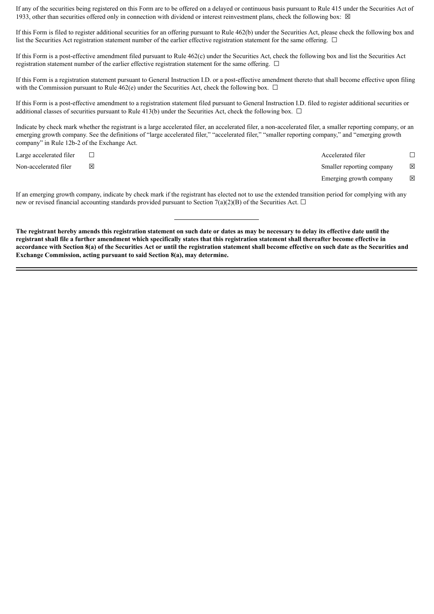If any of the securities being registered on this Form are to be offered on a delayed or continuous basis pursuant to Rule 415 under the Securities Act of 1933, other than securities offered only in connection with dividend or interest reinvestment plans, check the following box:  $\boxtimes$ 

If this Form is filed to register additional securities for an offering pursuant to Rule 462(b) under the Securities Act, please check the following box and list the Securities Act registration statement number of the earlier effective registration statement for the same offering.  $\Box$ 

If this Form is a post-effective amendment filed pursuant to Rule 462(c) under the Securities Act, check the following box and list the Securities Act registration statement number of the earlier effective registration statement for the same offering.  $\Box$ 

If this Form is a registration statement pursuant to General Instruction I.D. or a post-effective amendment thereto that shall become effective upon filing with the Commission pursuant to Rule 462(e) under the Securities Act, check the following box.  $\Box$ 

If this Form is a post-effective amendment to a registration statement filed pursuant to General Instruction I.D. filed to register additional securities or additional classes of securities pursuant to Rule 413(b) under the Securities Act, check the following box.  $\Box$ 

Indicate by check mark whether the registrant is a large accelerated filer, an accelerated filer, a non-accelerated filer, a smaller reporting company, or an emerging growth company. See the definitions of "large accelerated filer," "accelerated filer," "smaller reporting company," and "emerging growth company" in Rule 12b-2 of the Exchange Act.

Large accelerated filer ☐ Accelerated filer ☐ Non-accelerated filer ⊠ ⊠ Smaller reporting company ⊠ Emerging growth company  $\boxtimes$ 

If an emerging growth company, indicate by check mark if the registrant has elected not to use the extended transition period for complying with any new or revised financial accounting standards provided pursuant to Section 7(a)(2)(B) of the Securities Act.  $\Box$ 

The registrant hereby amends this registration statement on such date or dates as may be necessary to delay its effective date until the registrant shall file a further amendment which specifically states that this registration statement shall thereafter become effective in accordance with Section 8(a) of the Securities Act or until the registration statement shall become effective on such date as the Securities and **Exchange Commission, acting pursuant to said Section 8(a), may determine.**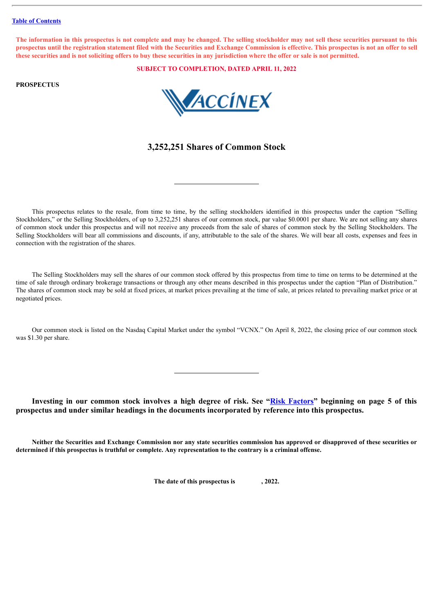#### **Table of [Contents](#page-3-0)**

The information in this prospectus is not complete and may be changed. The selling stockholder may not sell these securities pursuant to this prospectus until the registration statement filed with the Securities and Exchange Commission is effective. This prospectus is not an offer to sell these securities and is not soliciting offers to buy these securities in any jurisdiction where the offer or sale is not permitted.

**SUBJECT TO COMPLETION, DATED APRIL 11, 2022**

# **PROSPECTUS**



# **3,252,251 Shares of Common Stock**

This prospectus relates to the resale, from time to time, by the selling stockholders identified in this prospectus under the caption "Selling Stockholders," or the Selling Stockholders, of up to 3,252,251 shares of our common stock, par value \$0.0001 per share. We are not selling any shares of common stock under this prospectus and will not receive any proceeds from the sale of shares of common stock by the Selling Stockholders. The Selling Stockholders will bear all commissions and discounts, if any, attributable to the sale of the shares. We will bear all costs, expenses and fees in connection with the registration of the shares.

The Selling Stockholders may sell the shares of our common stock offered by this prospectus from time to time on terms to be determined at the time of sale through ordinary brokerage transactions or through any other means described in this prospectus under the caption "Plan of Distribution." The shares of common stock may be sold at fixed prices, at market prices prevailing at the time of sale, at prices related to prevailing market price or at negotiated prices.

Our common stock is listed on the Nasdaq Capital Market under the symbol "VCNX." On April 8, 2022, the closing price of our common stock was \$1.30 per share.

**Investing in our common stock involves a high degree of risk. See "[Risk Factors](#page-9-0)" beginning on page 5 of this prospectus and under similar headings in the documents incorporated by reference into this prospectus.**

Neither the Securities and Exchange Commission nor any state securities commission has approved or disapproved of these securities or determined if this prospectus is truthful or complete. Any representation to the contrary is a criminal offense.

**The date of this prospectus is , 2022.**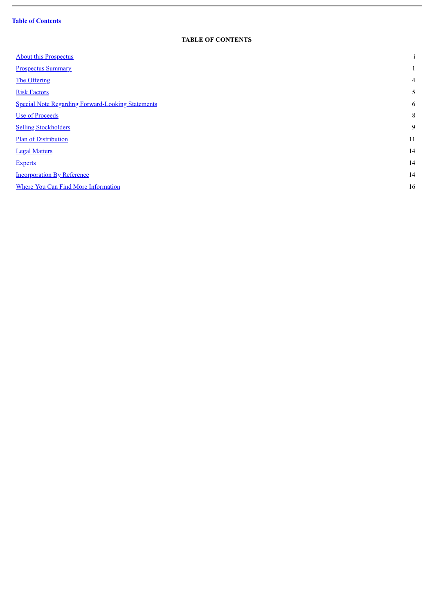# **Table of [Contents](#page-3-0)**

ł.

# **TABLE OF CONTENTS**

<span id="page-3-0"></span>

| <b>About this Prospectus</b>                             | $\bullet$<br>$\mathbf{1}$ |
|----------------------------------------------------------|---------------------------|
| <b>Prospectus Summary</b>                                |                           |
| The Offering                                             | $\overline{4}$            |
| <b>Risk Factors</b>                                      | 5                         |
| <b>Special Note Regarding Forward-Looking Statements</b> | 6                         |
| <b>Use of Proceeds</b>                                   | 8                         |
| <b>Selling Stockholders</b>                              | 9                         |
| <b>Plan of Distribution</b>                              | 11                        |
| <b>Legal Matters</b>                                     | 14                        |
| <b>Experts</b>                                           | 14                        |
| <b>Incorporation By Reference</b>                        | 14                        |
| Where You Can Find More Information                      | 16                        |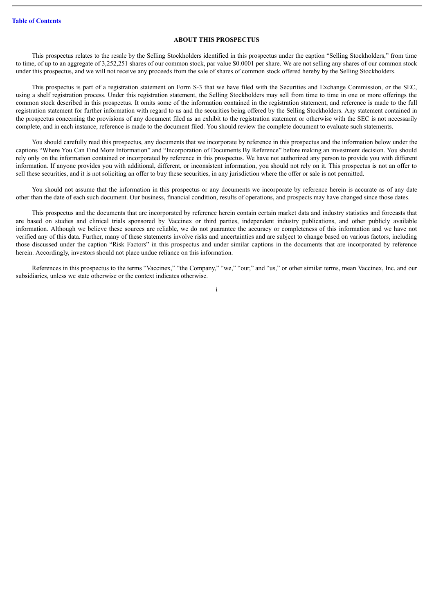# **ABOUT THIS PROSPECTUS**

<span id="page-4-0"></span>This prospectus relates to the resale by the Selling Stockholders identified in this prospectus under the caption "Selling Stockholders," from time to time, of up to an aggregate of 3,252,251 shares of our common stock, par value \$0.0001 per share. We are not selling any shares of our common stock under this prospectus, and we will not receive any proceeds from the sale of shares of common stock offered hereby by the Selling Stockholders.

This prospectus is part of a registration statement on Form S-3 that we have filed with the Securities and Exchange Commission, or the SEC, using a shelf registration process. Under this registration statement, the Selling Stockholders may sell from time to time in one or more offerings the common stock described in this prospectus. It omits some of the information contained in the registration statement, and reference is made to the full registration statement for further information with regard to us and the securities being offered by the Selling Stockholders. Any statement contained in the prospectus concerning the provisions of any document filed as an exhibit to the registration statement or otherwise with the SEC is not necessarily complete, and in each instance, reference is made to the document filed. You should review the complete document to evaluate such statements.

You should carefully read this prospectus, any documents that we incorporate by reference in this prospectus and the information below under the captions "Where You Can Find More Information" and "Incorporation of Documents By Reference" before making an investment decision. You should rely only on the information contained or incorporated by reference in this prospectus. We have not authorized any person to provide you with different information. If anyone provides you with additional, different, or inconsistent information, you should not rely on it. This prospectus is not an offer to sell these securities, and it is not soliciting an offer to buy these securities, in any jurisdiction where the offer or sale is not permitted.

You should not assume that the information in this prospectus or any documents we incorporate by reference herein is accurate as of any date other than the date of each such document. Our business, financial condition, results of operations, and prospects may have changed since those dates.

This prospectus and the documents that are incorporated by reference herein contain certain market data and industry statistics and forecasts that are based on studies and clinical trials sponsored by Vaccinex or third parties, independent industry publications, and other publicly available information. Although we believe these sources are reliable, we do not guarantee the accuracy or completeness of this information and we have not verified any of this data. Further, many of these statements involve risks and uncertainties and are subject to change based on various factors, including those discussed under the caption "Risk Factors" in this prospectus and under similar captions in the documents that are incorporated by reference herein. Accordingly, investors should not place undue reliance on this information.

References in this prospectus to the terms "Vaccinex," "the Company," "we," "our," and "us," or other similar terms, mean Vaccinex, Inc. and our subsidiaries, unless we state otherwise or the context indicates otherwise.

i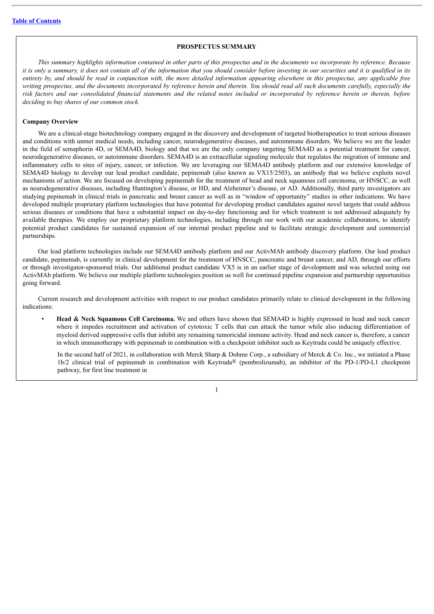## **PROSPECTUS SUMMARY**

<span id="page-5-0"></span>This summary highlights information contained in other parts of this prospectus and in the documents we incorporate by reference. Because it is only a summary, it does not contain all of the information that you should consider before investing in our securities and it is qualified in its entirety by, and should be read in conjunction with, the more detailed information appearing elsewhere in this prospectus, any applicable free writing prospectus, and the documents incorporated by reference herein and therein. You should read all such documents carefully, especially the risk factors and our consolidated financial statements and the related notes included or incorporated by reference herein or therein, before *deciding to buy shares of our common stock.*

### **Company Overview**

We are a clinical-stage biotechnology company engaged in the discovery and development of targeted biotherapeutics to treat serious diseases and conditions with unmet medical needs, including cancer, neurodegenerative diseases, and autoimmune disorders. We believe we are the leader in the field of semaphorin 4D, or SEMA4D, biology and that we are the only company targeting SEMA4D as a potential treatment for cancer, neurodegenerative diseases, or autoimmune disorders. SEMA4D is an extracellular signaling molecule that regulates the migration of immune and inflammatory cells to sites of injury, cancer, or infection. We are leveraging our SEMA4D antibody platform and our extensive knowledge of SEMA4D biology to develop our lead product candidate, pepinemab (also known as VX15/2503), an antibody that we believe exploits novel mechanisms of action. We are focused on developing pepinemab for the treatment of head and neck squamous cell carcinoma, or HNSCC, as well as neurodegenerative diseases, including Huntington's disease, or HD, and Alzheimer's disease, or AD. Additionally, third party investigators are studying pepinemab in clinical trials in pancreatic and breast cancer as well as in "window of opportunity" studies in other indications. We have developed multiple proprietary platform technologies that have potential for developing product candidates against novel targets that could address serious diseases or conditions that have a substantial impact on day-to-day functioning and for which treatment is not addressed adequately by available therapies. We employ our proprietary platform technologies, including through our work with our academic collaborators, to identify potential product candidates for sustained expansion of our internal product pipeline and to facilitate strategic development and commercial partnerships.

Our lead platform technologies include our SEMA4D antibody platform and our ActivMAb antibody discovery platform. Our lead product candidate, pepinemab, is currently in clinical development for the treatment of HNSCC, pancreatic and breast cancer, and AD, through our efforts or through investigator-sponsored trials. Our additional product candidate VX5 is in an earlier stage of development and was selected using our ActivMAb platform. We believe our multiple platform technologies position us well for continued pipeline expansion and partnership opportunities going forward.

Current research and development activities with respect to our product candidates primarily relate to clinical development in the following indications:

• **Head & Neck Squamous Cell Carcinoma.** We and others have shown that SEMA4D is highly expressed in head and neck cancer where it impedes recruitment and activation of cytotoxic T cells that can attack the tumor while also inducing differentiation of myeloid derived suppressive cells that inhibit any remaining tumoricidal immune activity. Head and neck cancer is, therefore, a cancer in which immunotherapy with pepinemab in combination with a checkpoint inhibitor such as Keytruda could be uniquely effective.

In the second half of 2021, in collaboration with Merck Sharp & Dohme Corp., a subsidiary of Merck & Co. Inc., we initiated a Phase 1b/2 clinical trial of pepinemab in combination with Keytruda® (pembrolizumab), an inhibitor of the PD-1/PD-L1 checkpoint pathway, for first line treatment in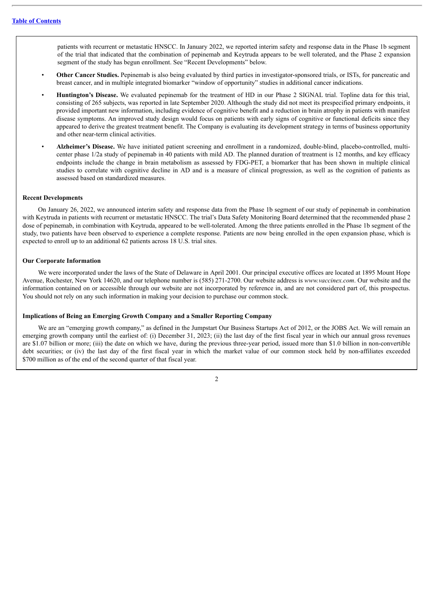patients with recurrent or metastatic HNSCC. In January 2022, we reported interim safety and response data in the Phase 1b segment of the trial that indicated that the combination of pepinemab and Keytruda appears to be well tolerated, and the Phase 2 expansion segment of the study has begun enrollment. See "Recent Developments" below.

- **Other Cancer Studies.** Pepinemab is also being evaluated by third parties in investigator-sponsored trials, or ISTs, for pancreatic and breast cancer, and in multiple integrated biomarker "window of opportunity" studies in additional cancer indications.
- **Huntington's Disease.** We evaluated pepinemab for the treatment of HD in our Phase 2 SIGNAL trial. Topline data for this trial, consisting of 265 subjects, was reported in late September 2020. Although the study did not meet its prespecified primary endpoints, it provided important new information, including evidence of cognitive benefit and a reduction in brain atrophy in patients with manifest disease symptoms. An improved study design would focus on patients with early signs of cognitive or functional deficits since they appeared to derive the greatest treatment benefit. The Company is evaluating its development strategy in terms of business opportunity and other near-term clinical activities.
- **Alzheimer's Disease.** We have initiated patient screening and enrollment in a randomized, double-blind, placebo-controlled, multicenter phase 1/2a study of pepinemab in 40 patients with mild AD. The planned duration of treatment is 12 months, and key efficacy endpoints include the change in brain metabolism as assessed by FDG-PET, a biomarker that has been shown in multiple clinical studies to correlate with cognitive decline in AD and is a measure of clinical progression, as well as the cognition of patients as assessed based on standardized measures.

#### **Recent Developments**

On January 26, 2022, we announced interim safety and response data from the Phase 1b segment of our study of pepinemab in combination with Keytruda in patients with recurrent or metastatic HNSCC. The trial's Data Safety Monitoring Board determined that the recommended phase 2 dose of pepinemab, in combination with Keytruda, appeared to be well-tolerated. Among the three patients enrolled in the Phase 1b segment of the study, two patients have been observed to experience a complete response. Patients are now being enrolled in the open expansion phase, which is expected to enroll up to an additional 62 patients across 18 U.S. trial sites.

#### **Our Corporate Information**

We were incorporated under the laws of the State of Delaware in April 2001. Our principal executive offices are located at 1895 Mount Hope Avenue, Rochester, New York 14620, and our telephone number is (585) 271-2700. Our website address is *www.vaccinex.com*. Our website and the information contained on or accessible through our website are not incorporated by reference in, and are not considered part of, this prospectus. You should not rely on any such information in making your decision to purchase our common stock.

#### **Implications of Being an Emerging Growth Company and a Smaller Reporting Company**

We are an "emerging growth company," as defined in the Jumpstart Our Business Startups Act of 2012, or the JOBS Act. We will remain an emerging growth company until the earliest of: (i) December 31, 2023; (ii) the last day of the first fiscal year in which our annual gross revenues are \$1.07 billion or more; (iii) the date on which we have, during the previous three-year period, issued more than \$1.0 billion in non-convertible debt securities; or (iv) the last day of the first fiscal year in which the market value of our common stock held by non-affiliates exceeded \$700 million as of the end of the second quarter of that fiscal year.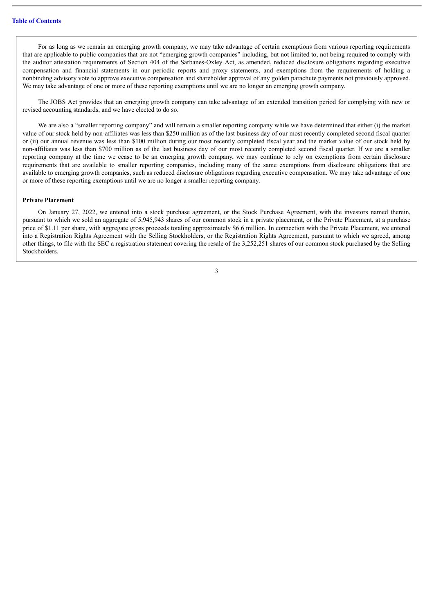For as long as we remain an emerging growth company, we may take advantage of certain exemptions from various reporting requirements that are applicable to public companies that are not "emerging growth companies" including, but not limited to, not being required to comply with the auditor attestation requirements of Section 404 of the Sarbanes-Oxley Act, as amended, reduced disclosure obligations regarding executive compensation and financial statements in our periodic reports and proxy statements, and exemptions from the requirements of holding a nonbinding advisory vote to approve executive compensation and shareholder approval of any golden parachute payments not previously approved. We may take advantage of one or more of these reporting exemptions until we are no longer an emerging growth company.

The JOBS Act provides that an emerging growth company can take advantage of an extended transition period for complying with new or revised accounting standards, and we have elected to do so.

We are also a "smaller reporting company" and will remain a smaller reporting company while we have determined that either (i) the market value of our stock held by non-affiliates was less than \$250 million as of the last business day of our most recently completed second fiscal quarter or (ii) our annual revenue was less than \$100 million during our most recently completed fiscal year and the market value of our stock held by non-affiliates was less than \$700 million as of the last business day of our most recently completed second fiscal quarter. If we are a smaller reporting company at the time we cease to be an emerging growth company, we may continue to rely on exemptions from certain disclosure requirements that are available to smaller reporting companies, including many of the same exemptions from disclosure obligations that are available to emerging growth companies, such as reduced disclosure obligations regarding executive compensation. We may take advantage of one or more of these reporting exemptions until we are no longer a smaller reporting company.

#### **Private Placement**

On January 27, 2022, we entered into a stock purchase agreement, or the Stock Purchase Agreement, with the investors named therein, pursuant to which we sold an aggregate of 5,945,943 shares of our common stock in a private placement, or the Private Placement, at a purchase price of \$1.11 per share, with aggregate gross proceeds totaling approximately \$6.6 million. In connection with the Private Placement, we entered into a Registration Rights Agreement with the Selling Stockholders, or the Registration Rights Agreement, pursuant to which we agreed, among other things, to file with the SEC a registration statement covering the resale of the 3,252,251 shares of our common stock purchased by the Selling Stockholders.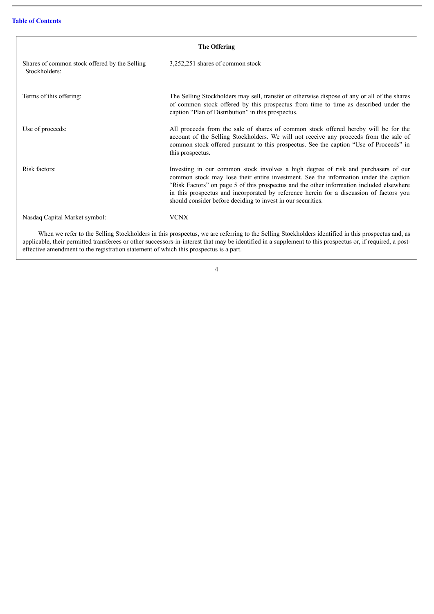<span id="page-8-0"></span>

| The Offering                                                   |                                                                                                                                                                                                                                                                                                                                                                                                                                   |  |  |  |  |
|----------------------------------------------------------------|-----------------------------------------------------------------------------------------------------------------------------------------------------------------------------------------------------------------------------------------------------------------------------------------------------------------------------------------------------------------------------------------------------------------------------------|--|--|--|--|
| Shares of common stock offered by the Selling<br>Stockholders: | 3,252,251 shares of common stock                                                                                                                                                                                                                                                                                                                                                                                                  |  |  |  |  |
| Terms of this offering:                                        | The Selling Stockholders may sell, transfer or otherwise dispose of any or all of the shares<br>of common stock offered by this prospectus from time to time as described under the<br>caption "Plan of Distribution" in this prospectus.                                                                                                                                                                                         |  |  |  |  |
| Use of proceeds:                                               | All proceeds from the sale of shares of common stock offered hereby will be for the<br>account of the Selling Stockholders. We will not receive any proceeds from the sale of<br>common stock offered pursuant to this prospectus. See the caption "Use of Proceeds" in<br>this prospectus.                                                                                                                                       |  |  |  |  |
| Risk factors:                                                  | Investing in our common stock involves a high degree of risk and purchasers of our<br>common stock may lose their entire investment. See the information under the caption<br>"Risk Factors" on page 5 of this prospectus and the other information included elsewhere<br>in this prospectus and incorporated by reference herein for a discussion of factors you<br>should consider before deciding to invest in our securities. |  |  |  |  |
| Nasdaq Capital Market symbol:                                  | <b>VCNX</b>                                                                                                                                                                                                                                                                                                                                                                                                                       |  |  |  |  |
|                                                                | When we refer to the Selling Stockholders in this prospectus, we are referring to the Selling Stockholders identified in this prospectus and, as                                                                                                                                                                                                                                                                                  |  |  |  |  |

applicable, their permitted transferees or other successors-in-interest that may be identified in a supplement to this prospectus or, if required, a posteffective amendment to the registration statement of which this prospectus is a part.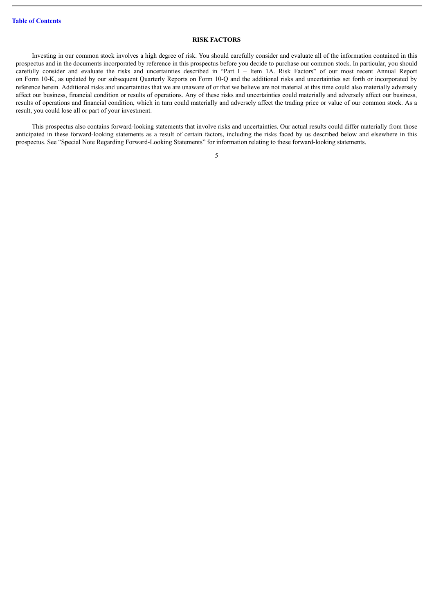#### **RISK FACTORS**

<span id="page-9-0"></span>Investing in our common stock involves a high degree of risk. You should carefully consider and evaluate all of the information contained in this prospectus and in the documents incorporated by reference in this prospectus before you decide to purchase our common stock. In particular, you should carefully consider and evaluate the risks and uncertainties described in "Part I – Item 1A. Risk Factors" of our most recent Annual Report on Form 10-K, as updated by our subsequent Quarterly Reports on Form 10-Q and the additional risks and uncertainties set forth or incorporated by reference herein. Additional risks and uncertainties that we are unaware of or that we believe are not material at this time could also materially adversely affect our business, financial condition or results of operations. Any of these risks and uncertainties could materially and adversely affect our business, results of operations and financial condition, which in turn could materially and adversely affect the trading price or value of our common stock. As a result, you could lose all or part of your investment.

This prospectus also contains forward-looking statements that involve risks and uncertainties. Our actual results could differ materially from those anticipated in these forward-looking statements as a result of certain factors, including the risks faced by us described below and elsewhere in this prospectus. See "Special Note Regarding Forward-Looking Statements" for information relating to these forward-looking statements.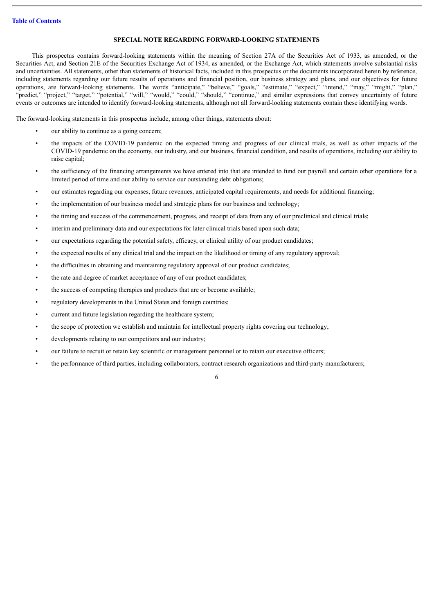### **SPECIAL NOTE REGARDING FORWARD-LOOKING STATEMENTS**

<span id="page-10-0"></span>This prospectus contains forward-looking statements within the meaning of Section 27A of the Securities Act of 1933, as amended, or the Securities Act, and Section 21E of the Securities Exchange Act of 1934, as amended, or the Exchange Act, which statements involve substantial risks and uncertainties. All statements, other than statements of historical facts, included in this prospectus or the documents incorporated herein by reference, including statements regarding our future results of operations and financial position, our business strategy and plans, and our objectives for future operations, are forward-looking statements. The words "anticipate," "believe," "goals," "estimate," "expect," "intend," "may," "might," "plan," "predict," "project," "target," "potential," "will," "would," "could," "should," "continue," and similar expressions that convey uncertainty of future events or outcomes are intended to identify forward-looking statements, although not all forward-looking statements contain these identifying words.

The forward-looking statements in this prospectus include, among other things, statements about:

- our ability to continue as a going concern;
- the impacts of the COVID-19 pandemic on the expected timing and progress of our clinical trials, as well as other impacts of the COVID-19 pandemic on the economy, our industry, and our business, financial condition, and results of operations, including our ability to raise capital;
- the sufficiency of the financing arrangements we have entered into that are intended to fund our payroll and certain other operations for a limited period of time and our ability to service our outstanding debt obligations;
- our estimates regarding our expenses, future revenues, anticipated capital requirements, and needs for additional financing;
- the implementation of our business model and strategic plans for our business and technology;
- the timing and success of the commencement, progress, and receipt of data from any of our preclinical and clinical trials;
- interim and preliminary data and our expectations for later clinical trials based upon such data;
- our expectations regarding the potential safety, efficacy, or clinical utility of our product candidates;
- the expected results of any clinical trial and the impact on the likelihood or timing of any regulatory approval;
- the difficulties in obtaining and maintaining regulatory approval of our product candidates;
- the rate and degree of market acceptance of any of our product candidates;
- the success of competing therapies and products that are or become available;
- regulatory developments in the United States and foreign countries;
- current and future legislation regarding the healthcare system;
- the scope of protection we establish and maintain for intellectual property rights covering our technology;
- developments relating to our competitors and our industry;
- our failure to recruit or retain key scientific or management personnel or to retain our executive officers;
- the performance of third parties, including collaborators, contract research organizations and third-party manufacturers;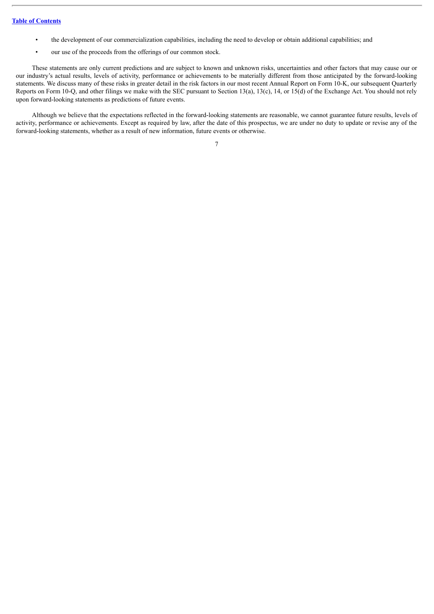- the development of our commercialization capabilities, including the need to develop or obtain additional capabilities; and
- our use of the proceeds from the offerings of our common stock.

These statements are only current predictions and are subject to known and unknown risks, uncertainties and other factors that may cause our or our industry's actual results, levels of activity, performance or achievements to be materially different from those anticipated by the forward-looking statements. We discuss many of these risks in greater detail in the risk factors in our most recent Annual Report on Form 10-K, our subsequent Quarterly Reports on Form 10-Q, and other filings we make with the SEC pursuant to Section 13(a), 13(c), 14, or 15(d) of the Exchange Act. You should not rely upon forward-looking statements as predictions of future events.

Although we believe that the expectations reflected in the forward-looking statements are reasonable, we cannot guarantee future results, levels of activity, performance or achievements. Except as required by law, after the date of this prospectus, we are under no duty to update or revise any of the forward-looking statements, whether as a result of new information, future events or otherwise.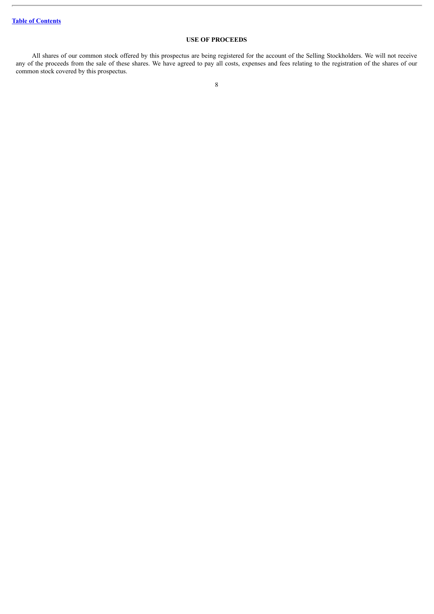# **USE OF PROCEEDS**

<span id="page-12-0"></span>All shares of our common stock offered by this prospectus are being registered for the account of the Selling Stockholders. We will not receive any of the proceeds from the sale of these shares. We have agreed to pay all costs, expenses and fees relating to the registration of the shares of our common stock covered by this prospectus.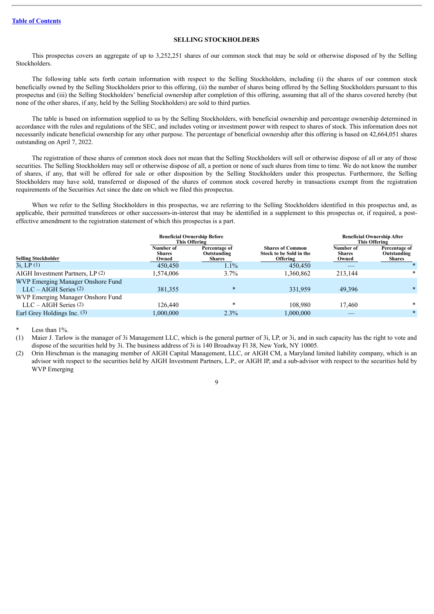### **SELLING STOCKHOLDERS**

<span id="page-13-0"></span>This prospectus covers an aggregate of up to 3,252,251 shares of our common stock that may be sold or otherwise disposed of by the Selling Stockholders.

The following table sets forth certain information with respect to the Selling Stockholders, including (i) the shares of our common stock beneficially owned by the Selling Stockholders prior to this offering, (ii) the number of shares being offered by the Selling Stockholders pursuant to this prospectus and (iii) the Selling Stockholders' beneficial ownership after completion of this offering, assuming that all of the shares covered hereby (but none of the other shares, if any, held by the Selling Stockholders) are sold to third parties.

The table is based on information supplied to us by the Selling Stockholders, with beneficial ownership and percentage ownership determined in accordance with the rules and regulations of the SEC, and includes voting or investment power with respect to shares of stock. This information does not necessarily indicate beneficial ownership for any other purpose. The percentage of beneficial ownership after this offering is based on 42,664,051 shares outstanding on April 7, 2022.

The registration of these shares of common stock does not mean that the Selling Stockholders will sell or otherwise dispose of all or any of those securities. The Selling Stockholders may sell or otherwise dispose of all, a portion or none of such shares from time to time. We do not know the number of shares, if any, that will be offered for sale or other disposition by the Selling Stockholders under this prospectus. Furthermore, the Selling Stockholders may have sold, transferred or disposed of the shares of common stock covered hereby in transactions exempt from the registration requirements of the Securities Act since the date on which we filed this prospectus.

When we refer to the Selling Stockholders in this prospectus, we are referring to the Selling Stockholders identified in this prospectus and, as applicable, their permitted transferees or other successors-in-interest that may be identified in a supplement to this prospectus or, if required, a posteffective amendment to the registration statement of which this prospectus is a part.

|                                                              | <b>Beneficial Ownership Before</b><br><b>This Offering</b> |                                               |                                                                       |                                     | <b>Beneficial Ownership After</b><br><b>This Offering</b> |
|--------------------------------------------------------------|------------------------------------------------------------|-----------------------------------------------|-----------------------------------------------------------------------|-------------------------------------|-----------------------------------------------------------|
| <b>Selling Stockholder</b>                                   | Number of<br><b>Shares</b><br>Owned                        | Percentage of<br>Outstanding<br><b>Shares</b> | <b>Shares of Common</b><br>Stock to be Sold in the<br><b>Offering</b> | Number of<br><b>Shares</b><br>Owned | Percentage of<br>Outstanding<br><b>Shares</b>             |
| 3i, LP(1)                                                    | 450,450                                                    | $1.1\%$                                       | 450,450                                                               |                                     |                                                           |
| AIGH Investment Partners, LP(2)                              | 1,574,006                                                  | 3.7%                                          | 1,360,862                                                             | 213.144                             | $\ast$                                                    |
| WVP Emerging Manager Onshore Fund<br>$LLC - AIGH Series (2)$ | 381,355                                                    | $\ast$                                        | 331.959                                                               | 49,396                              | $\ast$                                                    |
| WVP Emerging Manager Onshore Fund<br>$LLC - AIGH Series (2)$ | 126.440                                                    | $\ast$                                        | 108.980                                                               | 17.460                              | $\ast$                                                    |
| Earl Grey Holdings Inc. (3)                                  | 1,000,000                                                  | 2.3%                                          | 1,000,000                                                             |                                     | $\ast$                                                    |

Less than  $1\%$ 

(1) Maier J. Tarlow is the manager of 3i Management LLC, which is the general partner of 3i, LP, or 3i, and in such capacity has the right to vote and dispose of the securities held by 3i. The business address of 3i is 140 Broadway Fl 38, New York, NY 10005.

(2) Orin Hirschman is the managing member of AIGH Capital Management, LLC, or AIGH CM, a Maryland limited liability company, which is an advisor with respect to the securities held by AIGH Investment Partners, L.P., or AIGH IP, and a sub-advisor with respect to the securities held by WVP Emerging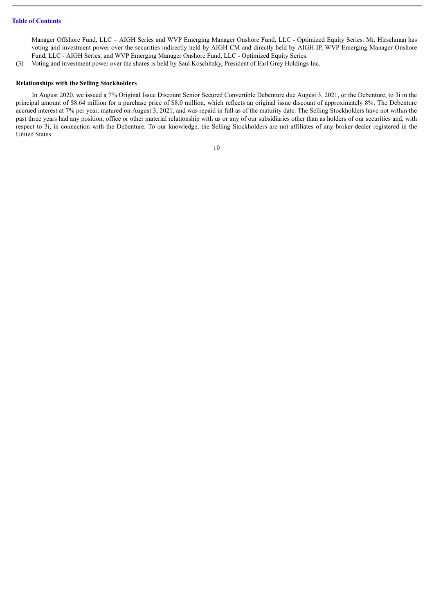Manager Offshore Fund, LLC – AIGH Series and WVP Emerging Manager Onshore Fund, LLC - Optimized Equity Series. Mr. Hirschman has voting and investment power over the securities indirectly held by AIGH CM and directly held by AIGH IP, WVP Emerging Manager Onshore Fund, LLC - AIGH Series, and WVP Emerging Manager Onshore Fund, LLC - Optimized Equity Series.

(3) Voting and investment power over the shares is held by Saul Koschitzky, President of Earl Grey Holdings Inc.

## **Relationships with the Selling Stockholders**

In August 2020, we issued a 7% Original Issue Discount Senior Secured Convertible Debenture due August 3, 2021, or the Debenture, to 3i in the principal amount of \$8.64 million for a purchase price of \$8.0 million, which reflects an original issue discount of approximately 8%. The Debenture accrued interest at 7% per year, matured on August 3, 2021, and was repaid in full as of the maturity date. The Selling Stockholders have not within the past three years had any position, office or other material relationship with us or any of our subsidiaries other than as holders of our securities and, with respect to 3i, in connection with the Debenture. To our knowledge, the Selling Stockholders are not affiliates of any broker-dealer registered in the United States.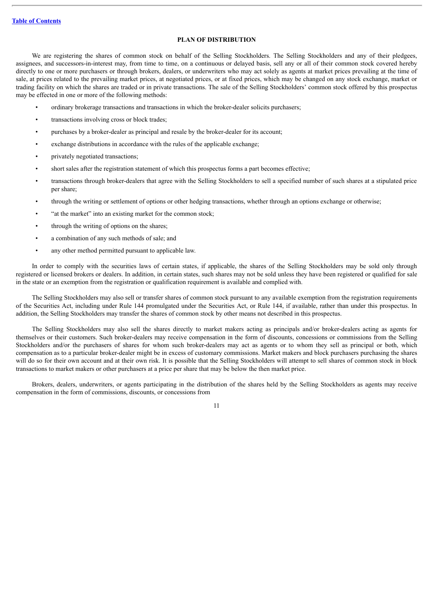# **PLAN OF DISTRIBUTION**

<span id="page-15-0"></span>We are registering the shares of common stock on behalf of the Selling Stockholders. The Selling Stockholders and any of their pledgees, assignees, and successors-in-interest may, from time to time, on a continuous or delayed basis, sell any or all of their common stock covered hereby directly to one or more purchasers or through brokers, dealers, or underwriters who may act solely as agents at market prices prevailing at the time of sale, at prices related to the prevailing market prices, at negotiated prices, or at fixed prices, which may be changed on any stock exchange, market or trading facility on which the shares are traded or in private transactions. The sale of the Selling Stockholders' common stock offered by this prospectus may be effected in one or more of the following methods:

- ordinary brokerage transactions and transactions in which the broker-dealer solicits purchasers;
- transactions involving cross or block trades;
- purchases by a broker-dealer as principal and resale by the broker-dealer for its account;
- exchange distributions in accordance with the rules of the applicable exchange;
- privately negotiated transactions;
- short sales after the registration statement of which this prospectus forms a part becomes effective;
- transactions through broker-dealers that agree with the Selling Stockholders to sell a specified number of such shares at a stipulated price per share;
- through the writing or settlement of options or other hedging transactions, whether through an options exchange or otherwise;
- "at the market" into an existing market for the common stock;
- through the writing of options on the shares;
- a combination of any such methods of sale; and
- any other method permitted pursuant to applicable law.

In order to comply with the securities laws of certain states, if applicable, the shares of the Selling Stockholders may be sold only through registered or licensed brokers or dealers. In addition, in certain states, such shares may not be sold unless they have been registered or qualified for sale in the state or an exemption from the registration or qualification requirement is available and complied with.

The Selling Stockholders may also sell or transfer shares of common stock pursuant to any available exemption from the registration requirements of the Securities Act, including under Rule 144 promulgated under the Securities Act, or Rule 144, if available, rather than under this prospectus. In addition, the Selling Stockholders may transfer the shares of common stock by other means not described in this prospectus.

The Selling Stockholders may also sell the shares directly to market makers acting as principals and/or broker-dealers acting as agents for themselves or their customers. Such broker-dealers may receive compensation in the form of discounts, concessions or commissions from the Selling Stockholders and/or the purchasers of shares for whom such broker-dealers may act as agents or to whom they sell as principal or both, which compensation as to a particular broker-dealer might be in excess of customary commissions. Market makers and block purchasers purchasing the shares will do so for their own account and at their own risk. It is possible that the Selling Stockholders will attempt to sell shares of common stock in block transactions to market makers or other purchasers at a price per share that may be below the then market price.

Brokers, dealers, underwriters, or agents participating in the distribution of the shares held by the Selling Stockholders as agents may receive compensation in the form of commissions, discounts, or concessions from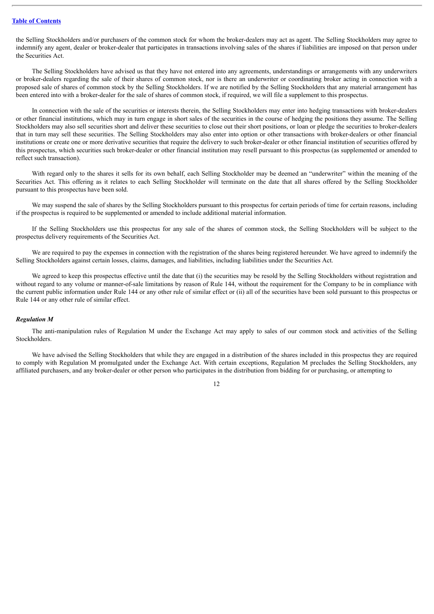the Selling Stockholders and/or purchasers of the common stock for whom the broker-dealers may act as agent. The Selling Stockholders may agree to indemnify any agent, dealer or broker-dealer that participates in transactions involving sales of the shares if liabilities are imposed on that person under the Securities Act.

The Selling Stockholders have advised us that they have not entered into any agreements, understandings or arrangements with any underwriters or broker-dealers regarding the sale of their shares of common stock, nor is there an underwriter or coordinating broker acting in connection with a proposed sale of shares of common stock by the Selling Stockholders. If we are notified by the Selling Stockholders that any material arrangement has been entered into with a broker-dealer for the sale of shares of common stock, if required, we will file a supplement to this prospectus.

In connection with the sale of the securities or interests therein, the Selling Stockholders may enter into hedging transactions with broker-dealers or other financial institutions, which may in turn engage in short sales of the securities in the course of hedging the positions they assume. The Selling Stockholders may also sell securities short and deliver these securities to close out their short positions, or loan or pledge the securities to broker-dealers that in turn may sell these securities. The Selling Stockholders may also enter into option or other transactions with broker-dealers or other financial institutions or create one or more derivative securities that require the delivery to such broker-dealer or other financial institution of securities offered by this prospectus, which securities such broker-dealer or other financial institution may resell pursuant to this prospectus (as supplemented or amended to reflect such transaction).

With regard only to the shares it sells for its own behalf, each Selling Stockholder may be deemed an "underwriter" within the meaning of the Securities Act. This offering as it relates to each Selling Stockholder will terminate on the date that all shares offered by the Selling Stockholder pursuant to this prospectus have been sold.

We may suspend the sale of shares by the Selling Stockholders pursuant to this prospectus for certain periods of time for certain reasons, including if the prospectus is required to be supplemented or amended to include additional material information.

If the Selling Stockholders use this prospectus for any sale of the shares of common stock, the Selling Stockholders will be subject to the prospectus delivery requirements of the Securities Act.

We are required to pay the expenses in connection with the registration of the shares being registered hereunder. We have agreed to indemnify the Selling Stockholders against certain losses, claims, damages, and liabilities, including liabilities under the Securities Act.

We agreed to keep this prospectus effective until the date that (i) the securities may be resold by the Selling Stockholders without registration and without regard to any volume or manner-of-sale limitations by reason of Rule 144, without the requirement for the Company to be in compliance with the current public information under Rule 144 or any other rule of similar effect or (ii) all of the securities have been sold pursuant to this prospectus or Rule 144 or any other rule of similar effect.

#### *Regulation M*

The anti-manipulation rules of Regulation M under the Exchange Act may apply to sales of our common stock and activities of the Selling Stockholders.

We have advised the Selling Stockholders that while they are engaged in a distribution of the shares included in this prospectus they are required to comply with Regulation M promulgated under the Exchange Act. With certain exceptions, Regulation M precludes the Selling Stockholders, any affiliated purchasers, and any broker-dealer or other person who participates in the distribution from bidding for or purchasing, or attempting to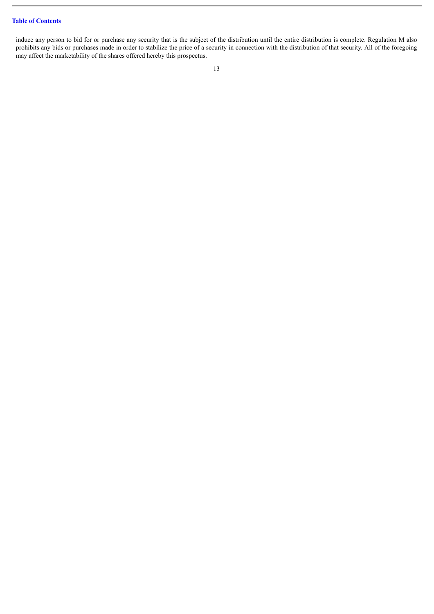# **Table of [Contents](#page-3-0)**

induce any person to bid for or purchase any security that is the subject of the distribution until the entire distribution is complete. Regulation M also prohibits any bids or purchases made in order to stabilize the price of a security in connection with the distribution of that security. All of the foregoing may affect the marketability of the shares offered hereby this prospectus.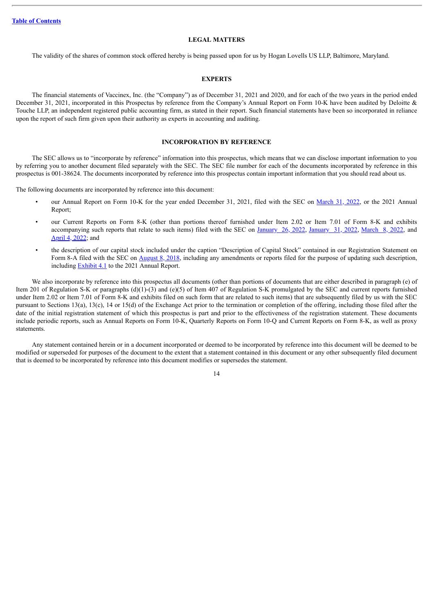#### **LEGAL MATTERS**

<span id="page-18-0"></span>The validity of the shares of common stock offered hereby is being passed upon for us by Hogan Lovells US LLP, Baltimore, Maryland.

#### **EXPERTS**

<span id="page-18-1"></span>The financial statements of Vaccinex, Inc. (the "Company") as of December 31, 2021 and 2020, and for each of the two years in the period ended December 31, 2021, incorporated in this Prospectus by reference from the Company's Annual Report on Form 10-K have been audited by Deloitte & Touche LLP, an independent registered public accounting firm, as stated in their report. Such financial statements have been so incorporated in reliance upon the report of such firm given upon their authority as experts in accounting and auditing.

## **INCORPORATION BY REFERENCE**

<span id="page-18-2"></span>The SEC allows us to "incorporate by reference" information into this prospectus, which means that we can disclose important information to you by referring you to another document filed separately with the SEC. The SEC file number for each of the documents incorporated by reference in this prospectus is 001-38624. The documents incorporated by reference into this prospectus contain important information that you should read about us.

The following documents are incorporated by reference into this document:

- our Annual Report on Form 10-K for the year ended December 31, 2021, filed with the SEC on [March](http://www.sec.gov/ix?doc=/Archives/edgar/data/1205922/000156459022012778/vcnx-10k_20211231.htm) 31, 2022, or the 2021 Annual Report;
- our Current Reports on Form 8-K (other than portions thereof furnished under Item 2.02 or Item 7.01 of Form 8-K and exhibits accompanying such reports that relate to such items) filed with the SEC on [January](http://www.sec.gov/ix?doc=/Archives/edgar/data/1205922/000119312522023545/d285729d8k.htm) 26, 2022, January 31, 2022, [March](http://www.sec.gov/ix?doc=/Archives/edgar/data/1205922/000119312522069387/d112157d8k.htm) 8, 2022, and [April](http://www.sec.gov/ix?doc=/Archives/edgar/data/1205922/000119312522095136/d325737d8k.htm) 4, 2022; and
- the description of our capital stock included under the caption "Description of Capital Stock" contained in our Registration Statement on Form 8-A filed with the SEC on [August](http://www.sec.gov/Archives/edgar/data/1205922/000119312518242464/d602009d8a12b.htm) 8, 2018, including any amendments or reports filed for the purpose of updating such description, including [Exhibit](http://www.sec.gov/Archives/edgar/data/1205922/000156459020009251/vcnx-ex41_662.htm) 4.1 to the 2021 Annual Report.

We also incorporate by reference into this prospectus all documents (other than portions of documents that are either described in paragraph (e) of Item 201 of Regulation S-K or paragraphs (d)(1)-(3) and (e)(5) of Item 407 of Regulation S-K promulgated by the SEC and current reports furnished under Item 2.02 or Item 7.01 of Form 8-K and exhibits filed on such form that are related to such items) that are subsequently filed by us with the SEC pursuant to Sections 13(a), 13(c), 14 or 15(d) of the Exchange Act prior to the termination or completion of the offering, including those filed after the date of the initial registration statement of which this prospectus is part and prior to the effectiveness of the registration statement. These documents include periodic reports, such as Annual Reports on Form 10-K, Quarterly Reports on Form 10-Q and Current Reports on Form 8-K, as well as proxy statements.

Any statement contained herein or in a document incorporated or deemed to be incorporated by reference into this document will be deemed to be modified or superseded for purposes of the document to the extent that a statement contained in this document or any other subsequently filed document that is deemed to be incorporated by reference into this document modifies or supersedes the statement.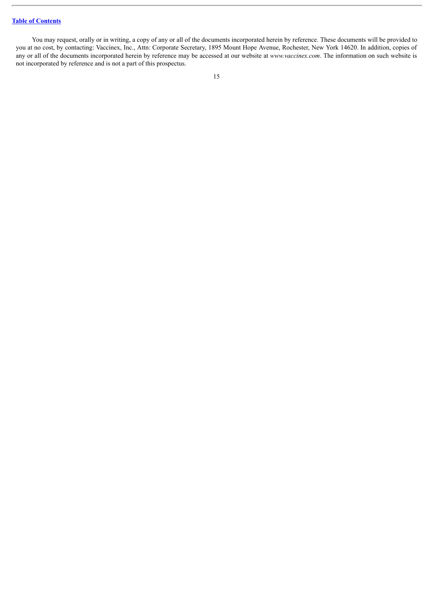# **Table of [Contents](#page-3-0)**

You may request, orally or in writing, a copy of any or all of the documents incorporated herein by reference. These documents will be provided to you at no cost, by contacting: Vaccinex, Inc., Attn: Corporate Secretary, 1895 Mount Hope Avenue, Rochester, New York 14620. In addition, copies of any or all of the documents incorporated herein by reference may be accessed at our website at *www.vaccinex.com*. The information on such website is not incorporated by reference and is not a part of this prospectus.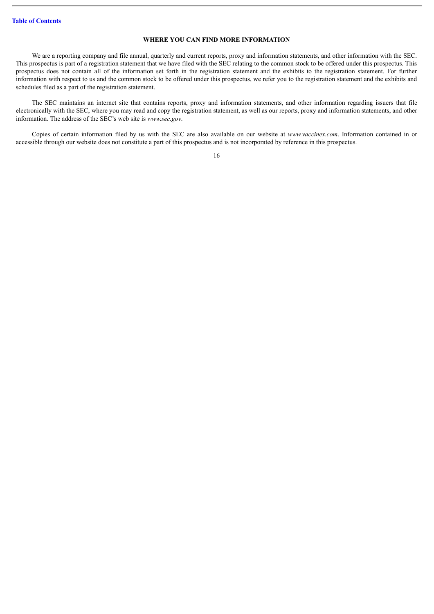### **WHERE YOU CAN FIND MORE INFORMATION**

<span id="page-20-0"></span>We are a reporting company and file annual, quarterly and current reports, proxy and information statements, and other information with the SEC. This prospectus is part of a registration statement that we have filed with the SEC relating to the common stock to be offered under this prospectus. This prospectus does not contain all of the information set forth in the registration statement and the exhibits to the registration statement. For further information with respect to us and the common stock to be offered under this prospectus, we refer you to the registration statement and the exhibits and schedules filed as a part of the registration statement.

The SEC maintains an internet site that contains reports, proxy and information statements, and other information regarding issuers that file electronically with the SEC, where you may read and copy the registration statement, as well as our reports, proxy and information statements, and other information. The address of the SEC's web site is *www.sec.gov*.

Copies of certain information filed by us with the SEC are also available on our website at *www.vaccinex.com*. Information contained in or accessible through our website does not constitute a part of this prospectus and is not incorporated by reference in this prospectus.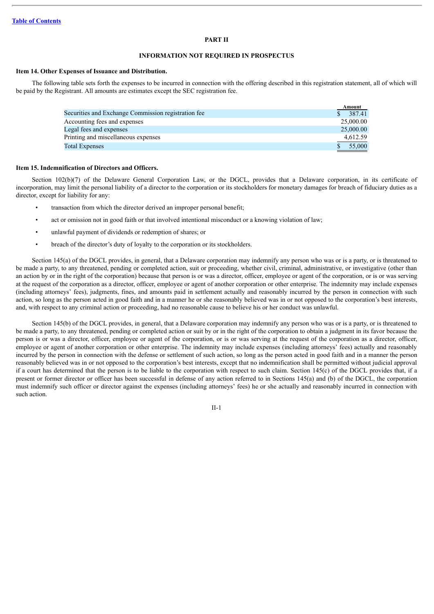#### **PART II**

#### **INFORMATION NOT REQUIRED IN PROSPECTUS**

#### **Item 14. Other Expenses of Issuance and Distribution.**

The following table sets forth the expenses to be incurred in connection with the offering described in this registration statement, all of which will be paid by the Registrant. All amounts are estimates except the SEC registration fee.

|                                                     | Amount    |
|-----------------------------------------------------|-----------|
| Securities and Exchange Commission registration fee | 387.41    |
| Accounting fees and expenses                        | 25,000.00 |
| Legal fees and expenses                             | 25,000.00 |
| Printing and miscellaneous expenses                 | 4,612.59  |
| <b>Total Expenses</b>                               | 55,000    |

#### **Item 15. Indemnification of Directors and Officers.**

Section 102(b)(7) of the Delaware General Corporation Law, or the DGCL, provides that a Delaware corporation, in its certificate of incorporation, may limit the personal liability of a director to the corporation or its stockholders for monetary damages for breach of fiduciary duties as a director, except for liability for any:

- transaction from which the director derived an improper personal benefit;
- act or omission not in good faith or that involved intentional misconduct or a knowing violation of law;
- unlawful payment of dividends or redemption of shares; or
- breach of the director's duty of loyalty to the corporation or its stockholders.

Section 145(a) of the DGCL provides, in general, that a Delaware corporation may indemnify any person who was or is a party, or is threatened to be made a party, to any threatened, pending or completed action, suit or proceeding, whether civil, criminal, administrative, or investigative (other than an action by or in the right of the corporation) because that person is or was a director, officer, employee or agent of the corporation, or is or was serving at the request of the corporation as a director, officer, employee or agent of another corporation or other enterprise. The indemnity may include expenses (including attorneys' fees), judgments, fines, and amounts paid in settlement actually and reasonably incurred by the person in connection with such action, so long as the person acted in good faith and in a manner he or she reasonably believed was in or not opposed to the corporation's best interests, and, with respect to any criminal action or proceeding, had no reasonable cause to believe his or her conduct was unlawful.

Section 145(b) of the DGCL provides, in general, that a Delaware corporation may indemnify any person who was or is a party, or is threatened to be made a party, to any threatened, pending or completed action or suit by or in the right of the corporation to obtain a judgment in its favor because the person is or was a director, officer, employee or agent of the corporation, or is or was serving at the request of the corporation as a director, officer, employee or agent of another corporation or other enterprise. The indemnity may include expenses (including attorneys' fees) actually and reasonably incurred by the person in connection with the defense or settlement of such action, so long as the person acted in good faith and in a manner the person reasonably believed was in or not opposed to the corporation's best interests, except that no indemnification shall be permitted without judicial approval if a court has determined that the person is to be liable to the corporation with respect to such claim. Section  $145(c)$  of the DGCL provides that, if a present or former director or officer has been successful in defense of any action referred to in Sections 145(a) and (b) of the DGCL, the corporation must indemnify such officer or director against the expenses (including attorneys' fees) he or she actually and reasonably incurred in connection with such action.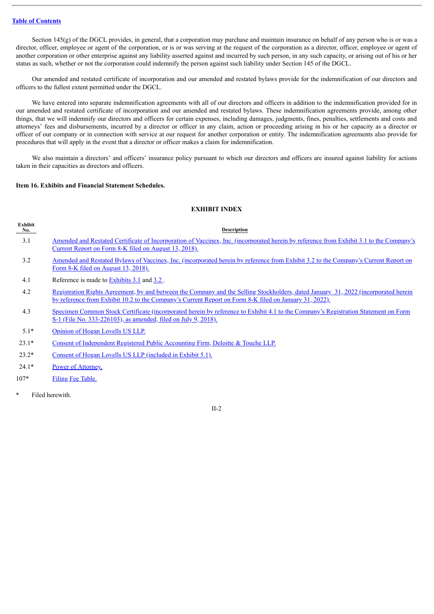Section  $145(g)$  of the DGCL provides, in general, that a corporation may purchase and maintain insurance on behalf of any person who is or was a director, officer, employee or agent of the corporation, or is or was serving at the request of the corporation as a director, officer, employee or agent of another corporation or other enterprise against any liability asserted against and incurred by such person, in any such capacity, or arising out of his or her status as such, whether or not the corporation could indemnify the person against such liability under Section 145 of the DGCL.

Our amended and restated certificate of incorporation and our amended and restated bylaws provide for the indemnification of our directors and officers to the fullest extent permitted under the DGCL.

We have entered into separate indemnification agreements with all of our directors and officers in addition to the indemnification provided for in our amended and restated certificate of incorporation and our amended and restated bylaws. These indemnification agreements provide, among other things, that we will indemnify our directors and officers for certain expenses, including damages, judgments, fines, penalties, settlements and costs and attorneys' fees and disbursements, incurred by a director or officer in any claim, action or proceeding arising in his or her capacity as a director or officer of our company or in connection with service at our request for another corporation or entity. The indemnification agreements also provide for procedures that will apply in the event that a director or officer makes a claim for indemnification.

We also maintain a directors' and officers' insurance policy pursuant to which our directors and officers are insured against liability for actions taken in their capacities as directors and officers.

#### **Item 16. Exhibits and Financial Statement Schedules.**

# **EXHIBIT INDEX**

| Exhibit<br>No. | <b>Description</b>                                                                                                                                                                                                                                   |
|----------------|------------------------------------------------------------------------------------------------------------------------------------------------------------------------------------------------------------------------------------------------------|
| 3.1            | <u>Amended and Restated Certificate of Incorporation of Vaccinex, Inc. (incorporated herein by reference from Exhibit 3.1 to the Company's</u><br>Current Report on Form 8-K filed on August 13, 2018).                                              |
| 3.2            | Amended and Restated Bylaws of Vaccinex, Inc. (incorporated herein by reference from Exhibit 3.2 to the Company's Current Report on<br><u>Form 8-K filed on August 13, 2018).</u>                                                                    |
| 4.1            | Reference is made to Exhibits 3.1 and 3.2.                                                                                                                                                                                                           |
| 4.2            | <u>Registration Rights Agreement, by and between the Company and the Selling Stockholders, dated January 31, 2022 (incorporated herein</u><br>by reference from Exhibit 10.2 to the Company's Current Report on Form 8-K filed on January 31, 2022). |
| 4.3            | Specimen Common Stock Certificate (incorporated herein by reference to Exhibit 4.1 to the Company's Registration Statement on Form<br><u>S-1 (File No. 333-226103), as amended, filed on July 9, 2018).</u>                                          |
| $5.1*$         | Opinion of Hogan Lovells US LLP.                                                                                                                                                                                                                     |
| $23.1*$        | Consent of Independent Registered Public Accounting Firm, Deloitte & Touche LLP.                                                                                                                                                                     |
| $23.2*$        | Consent of Hogan Lovells US LLP (included in Exhibit 5.1).                                                                                                                                                                                           |
| $24.1*$        | Power of Attorney.                                                                                                                                                                                                                                   |

- 107\* Filing Fee [Table.](#page-30-0)
- Filed herewith.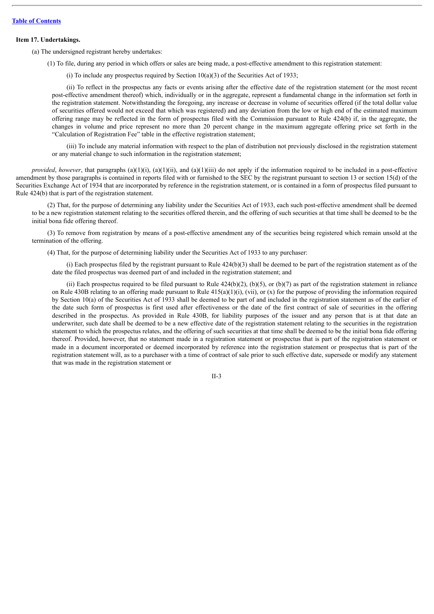#### **Item 17. Undertakings.**

(a) The undersigned registrant hereby undertakes:

(1) To file, during any period in which offers or sales are being made, a post-effective amendment to this registration statement:

(i) To include any prospectus required by Section  $10(a)(3)$  of the Securities Act of 1933;

(ii) To reflect in the prospectus any facts or events arising after the effective date of the registration statement (or the most recent post-effective amendment thereof) which, individually or in the aggregate, represent a fundamental change in the information set forth in the registration statement. Notwithstanding the foregoing, any increase or decrease in volume of securities offered (if the total dollar value of securities offered would not exceed that which was registered) and any deviation from the low or high end of the estimated maximum offering range may be reflected in the form of prospectus filed with the Commission pursuant to Rule 424(b) if, in the aggregate, the changes in volume and price represent no more than 20 percent change in the maximum aggregate offering price set forth in the "Calculation of Registration Fee" table in the effective registration statement;

(iii) To include any material information with respect to the plan of distribution not previously disclosed in the registration statement or any material change to such information in the registration statement;

*provided, however*, that paragraphs  $(a)(1)(i)$ ,  $(a)(1)(ii)$ , and  $(a)(1)(iii)$  do not apply if the information required to be included in a post-effective amendment by those paragraphs is contained in reports filed with or furnished to the SEC by the registrant pursuant to section 13 or section 15(d) of the Securities Exchange Act of 1934 that are incorporated by reference in the registration statement, or is contained in a form of prospectus filed pursuant to Rule 424(b) that is part of the registration statement.

(2) That, for the purpose of determining any liability under the Securities Act of 1933, each such post-effective amendment shall be deemed to be a new registration statement relating to the securities offered therein, and the offering of such securities at that time shall be deemed to be the initial bona fide offering thereof.

(3) To remove from registration by means of a post-effective amendment any of the securities being registered which remain unsold at the termination of the offering.

(4) That, for the purpose of determining liability under the Securities Act of 1933 to any purchaser:

(i) Each prospectus filed by the registrant pursuant to Rule 424(b)(3) shall be deemed to be part of the registration statement as of the date the filed prospectus was deemed part of and included in the registration statement; and

(ii) Each prospectus required to be filed pursuant to Rule  $424(b)(2)$ ,  $(b)(5)$ , or  $(b)(7)$  as part of the registration statement in reliance on Rule 430B relating to an offering made pursuant to Rule  $415(a)(1)(i)$ , (vii), or (x) for the purpose of providing the information required by Section 10(a) of the Securities Act of 1933 shall be deemed to be part of and included in the registration statement as of the earlier of the date such form of prospectus is first used after effectiveness or the date of the first contract of sale of securities in the offering described in the prospectus. As provided in Rule 430B, for liability purposes of the issuer and any person that is at that date an underwriter, such date shall be deemed to be a new effective date of the registration statement relating to the securities in the registration statement to which the prospectus relates, and the offering of such securities at that time shall be deemed to be the initial bona fide offering thereof. Provided, however, that no statement made in a registration statement or prospectus that is part of the registration statement or made in a document incorporated or deemed incorporated by reference into the registration statement or prospectus that is part of the registration statement will, as to a purchaser with a time of contract of sale prior to such effective date, supersede or modify any statement that was made in the registration statement or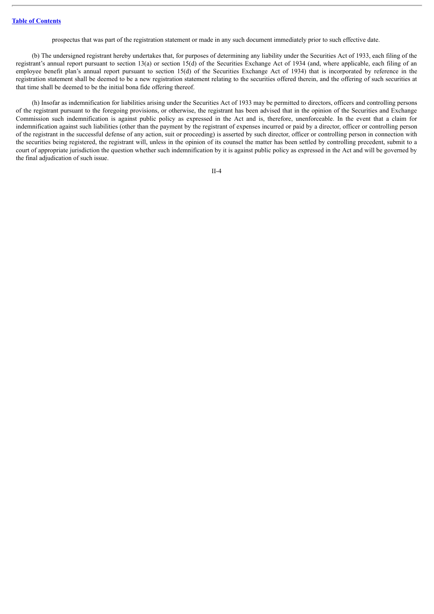prospectus that was part of the registration statement or made in any such document immediately prior to such effective date.

(b) The undersigned registrant hereby undertakes that, for purposes of determining any liability under the Securities Act of 1933, each filing of the registrant's annual report pursuant to section 13(a) or section 15(d) of the Securities Exchange Act of 1934 (and, where applicable, each filing of an employee benefit plan's annual report pursuant to section 15(d) of the Securities Exchange Act of 1934) that is incorporated by reference in the registration statement shall be deemed to be a new registration statement relating to the securities offered therein, and the offering of such securities at that time shall be deemed to be the initial bona fide offering thereof.

(h) Insofar as indemnification for liabilities arising under the Securities Act of 1933 may be permitted to directors, officers and controlling persons of the registrant pursuant to the foregoing provisions, or otherwise, the registrant has been advised that in the opinion of the Securities and Exchange Commission such indemnification is against public policy as expressed in the Act and is, therefore, unenforceable. In the event that a claim for indemnification against such liabilities (other than the payment by the registrant of expenses incurred or paid by a director, officer or controlling person of the registrant in the successful defense of any action, suit or proceeding) is asserted by such director, officer or controlling person in connection with the securities being registered, the registrant will, unless in the opinion of its counsel the matter has been settled by controlling precedent, submit to a court of appropriate jurisdiction the question whether such indemnification by it is against public policy as expressed in the Act and will be governed by the final adjudication of such issue.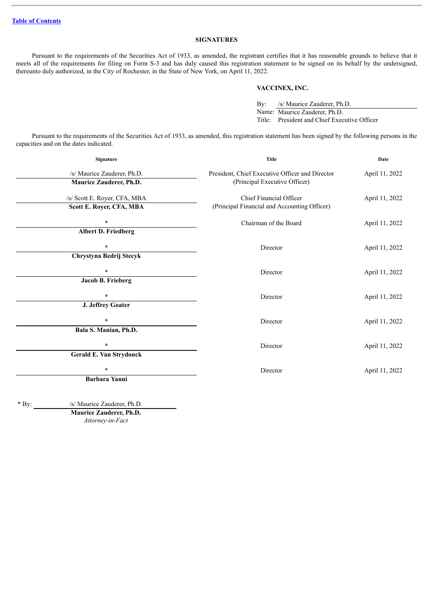# **SIGNATURES**

Pursuant to the requirements of the Securities Act of 1933, as amended, the registrant certifies that it has reasonable grounds to believe that it meets all of the requirements for filing on Form S-3 and has duly caused this registration statement to be signed on its behalf by the undersigned, thereunto duly authorized, in the City of Rochester, in the State of New York, on April 11, 2022.

#### **VACCINEX, INC.**

By: /s/ Maurice Zauderer, Ph.D. Name: Maurice Zauderer, Ph.D. Title: President and Chief Executive Officer

Pursuant to the requirements of the Securities Act of 1933, as amended, this registration statement has been signed by the following persons in the capacities and on the dates indicated.

| Signature                                                        | <b>Title</b>                                                                     | Date           |  |
|------------------------------------------------------------------|----------------------------------------------------------------------------------|----------------|--|
| /s/ Maurice Zauderer, Ph.D.<br>Maurice Zauderer, Ph.D.           | President, Chief Executive Officer and Director<br>(Principal Executive Officer) | April 11, 2022 |  |
| /s/ Scott E. Royer, CFA, MBA<br>Scott E. Royer, CFA, MBA         | Chief Financial Officer<br>(Principal Financial and Accounting Officer)          | April 11, 2022 |  |
| $\ast$<br><b>Albert D. Friedberg</b>                             | Chairman of the Board                                                            | April 11, 2022 |  |
| $\ast$<br>Chrystyna Bedrij Stecyk                                | Director                                                                         | April 11, 2022 |  |
| $\ast$<br><b>Jacob B. Frieberg</b>                               | Director                                                                         | April 11, 2022 |  |
| $\ast$                                                           | Director                                                                         | April 11, 2022 |  |
| J. Jeffrey Goater<br>$\ast$                                      | Director                                                                         | April 11, 2022 |  |
| Bala S. Manian, Ph.D.<br>$\ast$                                  | Director                                                                         | April 11, 2022 |  |
| <b>Gerald E. Van Strydonck</b><br>$\ast$<br><b>Barbara Yanni</b> | Director                                                                         | April 11, 2022 |  |
|                                                                  |                                                                                  |                |  |

\* By: /s/ Maurice Zauderer, Ph.D. **Maurice Zauderer, Ph.D.**

*Attorney-in-Fact*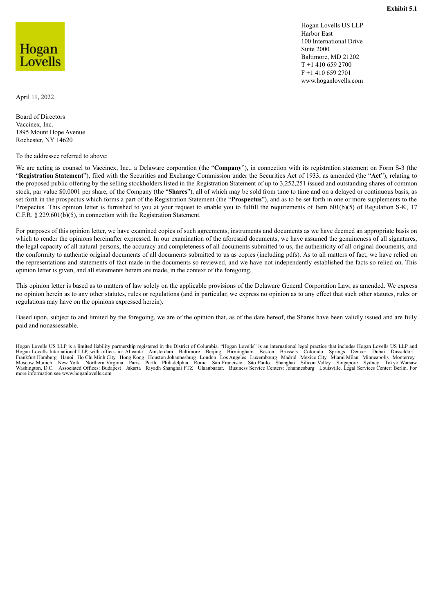Hogan Lovells US LLP Harbor East 100 International Drive Suite 2000 Baltimore, MD 21202 T +1 410 659 2700 F +1 410 659 2701 www.hoganlovells.com

<span id="page-26-0"></span>Hogan Lovells

April 11, 2022

Board of Directors Vaccinex, Inc. 1895 Mount Hope Avenue Rochester, NY 14620

To the addressee referred to above:

We are acting as counsel to Vaccinex, Inc., a Delaware corporation (the "**Company**"), in connection with its registration statement on Form S-3 (the "**Registration Statement**"), filed with the Securities and Exchange Commission under the Securities Act of 1933, as amended (the "**Act**"), relating to the proposed public offering by the selling stockholders listed in the Registration Statement of up to 3,252,251 issued and outstanding shares of common stock, par value \$0.0001 per share, of the Company (the "**Shares**"), all of which may be sold from time to time and on a delayed or continuous basis, as set forth in the prospectus which forms a part of the Registration Statement (the "**Prospectus**"), and as to be set forth in one or more supplements to the Prospectus. This opinion letter is furnished to you at your request to enable you to fulfill the requirements of Item 601(b)(5) of Regulation S-K, 17 C.F.R. § 229.601(b)(5), in connection with the Registration Statement.

For purposes of this opinion letter, we have examined copies of such agreements, instruments and documents as we have deemed an appropriate basis on which to render the opinions hereinafter expressed. In our examination of the aforesaid documents, we have assumed the genuineness of all signatures, the legal capacity of all natural persons, the accuracy and completeness of all documents submitted to us, the authenticity of all original documents, and the conformity to authentic original documents of all documents submitted to us as copies (including pdfs). As to all matters of fact, we have relied on the representations and statements of fact made in the documents so reviewed, and we have not independently established the facts so relied on. This opinion letter is given, and all statements herein are made, in the context of the foregoing.

This opinion letter is based as to matters of law solely on the applicable provisions of the Delaware General Corporation Law, as amended. We express no opinion herein as to any other statutes, rules or regulations (and in particular, we express no opinion as to any effect that such other statutes, rules or regulations may have on the opinions expressed herein).

Based upon, subject to and limited by the foregoing, we are of the opinion that, as of the date hereof, the Shares have been validly issued and are fully paid and nonassessable.

Hogan Lovells US LLP is a limited liability partnership registered in the District of Columbia. "Hogan Lovells" is an international legal practice that includes Hogan Lovells US LLP and Hogan Lovells International LLP, with offices in: Alicante Amsterdam Baltimore Beijing Birmingham Boston Brussels Colorado Springs Denver Dubai Dusseldorf<br>Frankfurt Hamburg Hanoi Ho Chi Minh City Hong Kong Houston Johannes more information see www.hoganlovells.com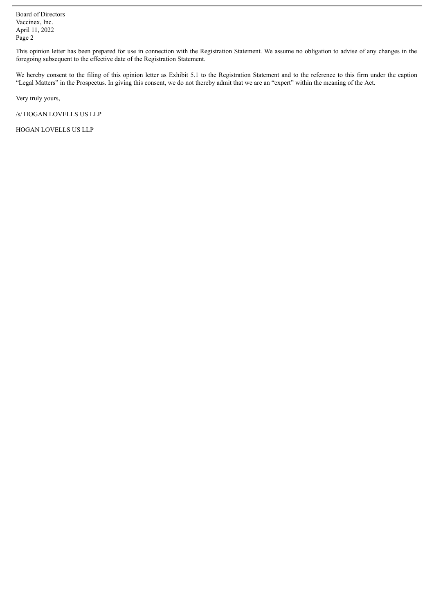Board of Directors Vaccinex, Inc. April 11, 2022 Page 2

This opinion letter has been prepared for use in connection with the Registration Statement. We assume no obligation to advise of any changes in the foregoing subsequent to the effective date of the Registration Statement.

We hereby consent to the filing of this opinion letter as Exhibit 5.1 to the Registration Statement and to the reference to this firm under the caption "Legal Matters" in the Prospectus. In giving this consent, we do not thereby admit that we are an "expert" within the meaning of the Act.

Very truly yours,

/s/ HOGAN LOVELLS US LLP

HOGAN LOVELLS US LLP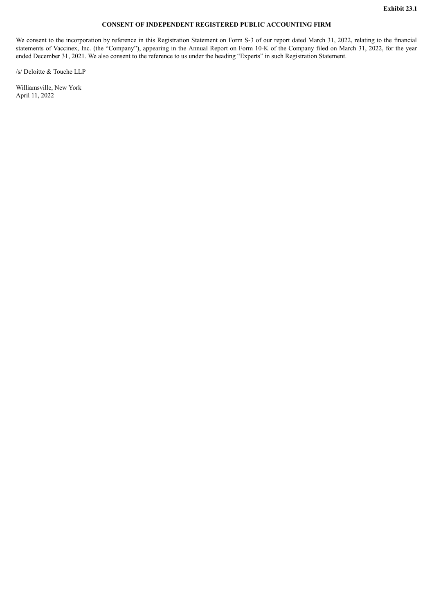# **CONSENT OF INDEPENDENT REGISTERED PUBLIC ACCOUNTING FIRM**

<span id="page-28-0"></span>We consent to the incorporation by reference in this Registration Statement on Form S-3 of our report dated March 31, 2022, relating to the financial statements of Vaccinex, Inc. (the "Company"), appearing in the Annual Report on Form 10-K of the Company filed on March 31, 2022, for the year ended December 31, 2021. We also consent to the reference to us under the heading "Experts" in such Registration Statement.

/s/ Deloitte & Touche LLP

Williamsville, New York April 11, 2022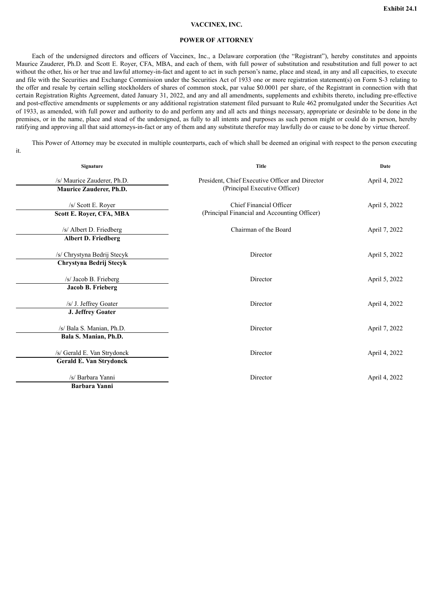## **VACCINEX, INC.**

#### **POWER OF ATTORNEY**

<span id="page-29-0"></span>Each of the undersigned directors and officers of Vaccinex, Inc., a Delaware corporation (the "Registrant"), hereby constitutes and appoints Maurice Zauderer, Ph.D. and Scott E. Royer, CFA, MBA, and each of them, with full power of substitution and resubstitution and full power to act without the other, his or her true and lawful attorney-in-fact and agent to act in such person's name, place and stead, in any and all capacities, to execute and file with the Securities and Exchange Commission under the Securities Act of 1933 one or more registration statement(s) on Form S-3 relating to the offer and resale by certain selling stockholders of shares of common stock, par value \$0.0001 per share, of the Registrant in connection with that certain Registration Rights Agreement, dated January 31, 2022, and any and all amendments, supplements and exhibits thereto, including pre-effective and post-effective amendments or supplements or any additional registration statement filed pursuant to Rule 462 promulgated under the Securities Act of 1933, as amended, with full power and authority to do and perform any and all acts and things necessary, appropriate or desirable to be done in the premises, or in the name, place and stead of the undersigned, as fully to all intents and purposes as such person might or could do in person, hereby ratifying and approving all that said attorneys-in-fact or any of them and any substitute therefor may lawfully do or cause to be done by virtue thereof.

This Power of Attorney may be executed in multiple counterparts, each of which shall be deemed an original with respect to the person executing

it.

| Signature                                                     | <b>Title</b>                                                                     | Date          |
|---------------------------------------------------------------|----------------------------------------------------------------------------------|---------------|
| /s/ Maurice Zauderer, Ph.D.<br>Maurice Zauderer, Ph.D.        | President, Chief Executive Officer and Director<br>(Principal Executive Officer) | April 4, 2022 |
| /s/ Scott E. Royer<br>Scott E. Royer, CFA, MBA                | Chief Financial Officer<br>(Principal Financial and Accounting Officer)          | April 5, 2022 |
| /s/ Albert D. Friedberg<br><b>Albert D. Friedberg</b>         | Chairman of the Board                                                            | April 7, 2022 |
| /s/ Chrystyna Bedrij Stecyk<br>Chrystyna Bedrij Stecyk        | Director                                                                         | April 5, 2022 |
| /s/ Jacob B. Frieberg<br>Jacob B. Frieberg                    | Director                                                                         | April 5, 2022 |
| /s/ J. Jeffrey Goater<br>J. Jeffrey Goater                    | Director                                                                         | April 4, 2022 |
| /s/ Bala S. Manian, Ph.D.<br>Bala S. Manian, Ph.D.            | Director                                                                         | April 7, 2022 |
| /s/ Gerald E. Van Strydonck<br><b>Gerald E. Van Strydonck</b> | Director                                                                         | April 4, 2022 |
| /s/ Barbara Yanni<br><b>Barbara Yanni</b>                     | Director                                                                         | April 4, 2022 |